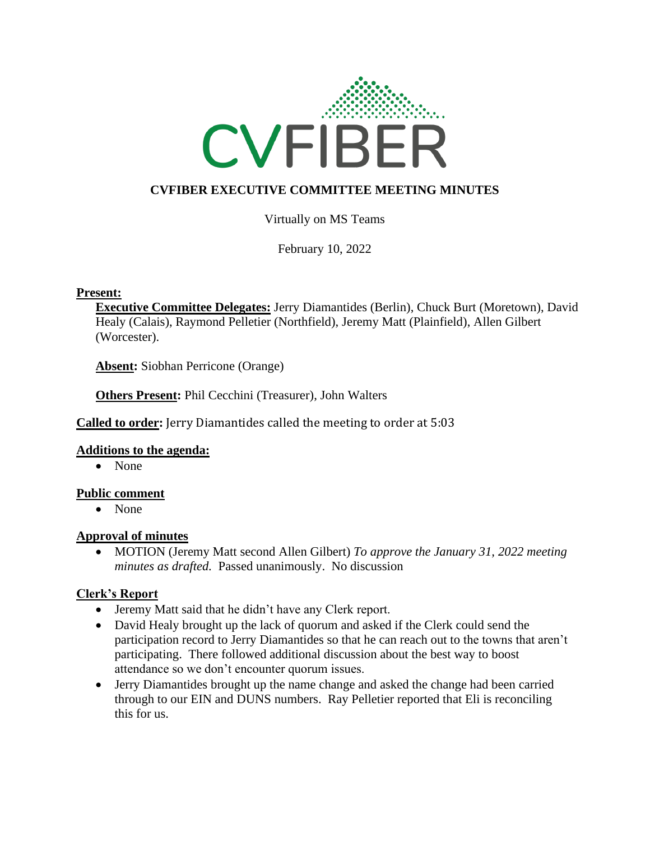

# **CVFIBER EXECUTIVE COMMITTEE MEETING MINUTES**

## Virtually on MS Teams

February 10, 2022

#### **Present:**

**Executive Committee Delegates:** Jerry Diamantides (Berlin), Chuck Burt (Moretown), David Healy (Calais), Raymond Pelletier (Northfield), Jeremy Matt (Plainfield), Allen Gilbert (Worcester).

**Absent:** Siobhan Perricone (Orange)

**Others Present:** Phil Cecchini (Treasurer), John Walters

### **Called to order:** Jerry Diamantides called the meeting to order at 5:03

#### **Additions to the agenda:**

• None

### **Public comment**

• None

### **Approval of minutes**

• MOTION (Jeremy Matt second Allen Gilbert) *To approve the January 31, 2022 meeting minutes as drafted.* Passed unanimously. No discussion

### **Clerk's Report**

- Jeremy Matt said that he didn't have any Clerk report.
- David Healy brought up the lack of quorum and asked if the Clerk could send the participation record to Jerry Diamantides so that he can reach out to the towns that aren't participating. There followed additional discussion about the best way to boost attendance so we don't encounter quorum issues.
- Jerry Diamantides brought up the name change and asked the change had been carried through to our EIN and DUNS numbers. Ray Pelletier reported that Eli is reconciling this for us.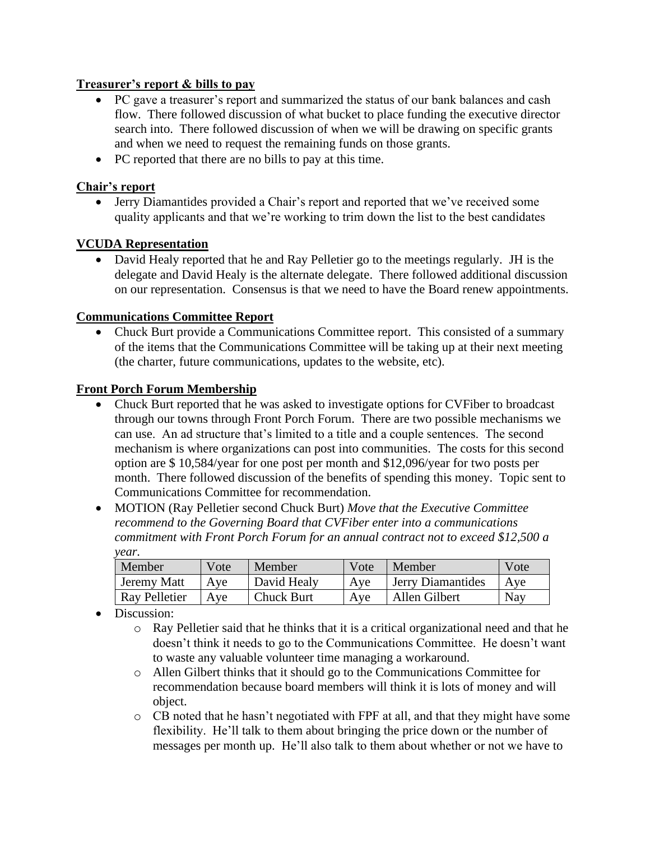### **Treasurer's report & bills to pay**

- PC gave a treasurer's report and summarized the status of our bank balances and cash flow. There followed discussion of what bucket to place funding the executive director search into. There followed discussion of when we will be drawing on specific grants and when we need to request the remaining funds on those grants.
- PC reported that there are no bills to pay at this time.

## **Chair's report**

• Jerry Diamantides provided a Chair's report and reported that we've received some quality applicants and that we're working to trim down the list to the best candidates

## **VCUDA Representation**

• David Healy reported that he and Ray Pelletier go to the meetings regularly. JH is the delegate and David Healy is the alternate delegate. There followed additional discussion on our representation. Consensus is that we need to have the Board renew appointments.

## **Communications Committee Report**

• Chuck Burt provide a Communications Committee report. This consisted of a summary of the items that the Communications Committee will be taking up at their next meeting (the charter, future communications, updates to the website, etc).

## **Front Porch Forum Membership**

- Chuck Burt reported that he was asked to investigate options for CVFiber to broadcast through our towns through Front Porch Forum. There are two possible mechanisms we can use. An ad structure that's limited to a title and a couple sentences. The second mechanism is where organizations can post into communities. The costs for this second option are \$ 10,584/year for one post per month and \$12,096/year for two posts per month. There followed discussion of the benefits of spending this money. Topic sent to Communications Committee for recommendation.
- MOTION (Ray Pelletier second Chuck Burt) *Move that the Executive Committee recommend to the Governing Board that CVFiber enter into a communications commitment with Front Porch Forum for an annual contract not to exceed \$12,500 a year.*

| Member        | Vote | Member            | Vote | Member                   | Vote |
|---------------|------|-------------------|------|--------------------------|------|
| Jeremy Matt   | Ave  | David Healy       | Ave  | <b>Jerry Diamantides</b> | Ave  |
| Ray Pelletier | Ave  | <b>Chuck Burt</b> | Ave  | Allen Gilbert            | Nay  |

- Discussion:
	- o Ray Pelletier said that he thinks that it is a critical organizational need and that he doesn't think it needs to go to the Communications Committee. He doesn't want to waste any valuable volunteer time managing a workaround.
	- o Allen Gilbert thinks that it should go to the Communications Committee for recommendation because board members will think it is lots of money and will object.
	- o CB noted that he hasn't negotiated with FPF at all, and that they might have some flexibility. He'll talk to them about bringing the price down or the number of messages per month up. He'll also talk to them about whether or not we have to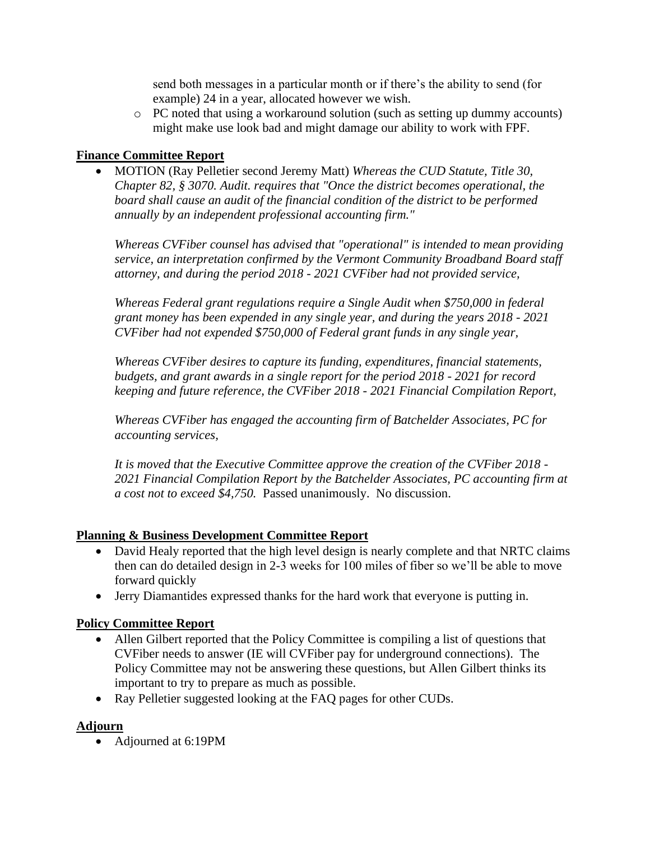send both messages in a particular month or if there's the ability to send (for example) 24 in a year, allocated however we wish.

o PC noted that using a workaround solution (such as setting up dummy accounts) might make use look bad and might damage our ability to work with FPF.

## **Finance Committee Report**

• MOTION (Ray Pelletier second Jeremy Matt) *Whereas the CUD Statute, Title 30, Chapter 82, § 3070. Audit. requires that "Once the district becomes operational, the board shall cause an audit of the financial condition of the district to be performed annually by an independent professional accounting firm."*

*Whereas CVFiber counsel has advised that "operational" is intended to mean providing service, an interpretation confirmed by the Vermont Community Broadband Board staff attorney, and during the period 2018 - 2021 CVFiber had not provided service,*

*Whereas Federal grant regulations require a Single Audit when \$750,000 in federal grant money has been expended in any single year, and during the years 2018 - 2021 CVFiber had not expended \$750,000 of Federal grant funds in any single year,*

*Whereas CVFiber desires to capture its funding, expenditures, financial statements, budgets, and grant awards in a single report for the period 2018 - 2021 for record keeping and future reference, the CVFiber 2018 - 2021 Financial Compilation Report,*

*Whereas CVFiber has engaged the accounting firm of Batchelder Associates, PC for accounting services,*

*It is moved that the Executive Committee approve the creation of the CVFiber 2018 - 2021 Financial Compilation Report by the Batchelder Associates, PC accounting firm at a cost not to exceed \$4,750.* Passed unanimously. No discussion.

### **Planning & Business Development Committee Report**

- David Healy reported that the high level design is nearly complete and that NRTC claims then can do detailed design in 2-3 weeks for 100 miles of fiber so we'll be able to move forward quickly
- Jerry Diamantides expressed thanks for the hard work that everyone is putting in.

### **Policy Committee Report**

- Allen Gilbert reported that the Policy Committee is compiling a list of questions that CVFiber needs to answer (IE will CVFiber pay for underground connections). The Policy Committee may not be answering these questions, but Allen Gilbert thinks its important to try to prepare as much as possible.
- Ray Pelletier suggested looking at the FAQ pages for other CUDs.

### **Adjourn**

• Adjourned at 6:19PM